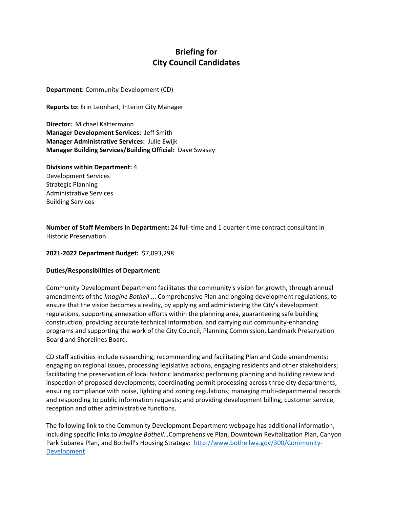## **Briefing for City Council Candidates**

**Department:** Community Development (CD)

**Reports to:** Erin Leonhart, Interim City Manager

**Director:** Michael Kattermann **Manager Development Services:** Jeff Smith **Manager Administrative Services:** Julie Ewijk **Manager Building Services/Building Official:** Dave Swasey

**Divisions within Department:** 4 Development Services Strategic Planning Administrative Services Building Services

**Number of Staff Members in Department:** 24 full‐time and 1 quarter‐time contract consultant in Historic Preservation

## **2021‐2022 Department Budget:** \$7,093,298

## **Duties/Responsibilities of Department:**

Community Development Department facilitates the community's vision for growth, through annual amendments of the *Imagine Bothell* ... Comprehensive Plan and ongoing development regulations; to ensure that the vision becomes a reality, by applying and administering the City's development regulations, supporting annexation efforts within the planning area, guaranteeing safe building construction, providing accurate technical information, and carrying out community-enhancing programs and supporting the work of the City Council, Planning Commission, Landmark Preservation Board and Shorelines Board.

CD staff activities include researching, recommending and facilitating Plan and Code amendments; engaging on regional issues, processing legislative actions, engaging residents and other stakeholders; facilitating the preservation of local historic landmarks; performing planning and building review and inspection of proposed developments; coordinating permit processing across three city departments; ensuring compliance with noise, lighting and zoning regulations; managing multi-departmental records and responding to public information requests; and providing development billing, customer service, reception and other administrative functions.

The following link to the Community Development Department webpage has additional information, including specific links to *Imagine Bothell*…Comprehensive Plan, Downtown Revitalization Plan, Canyon Park Subarea Plan, and Bothell's Housing Strategy: http://www.bothellwa.gov/300/Community‐ Development